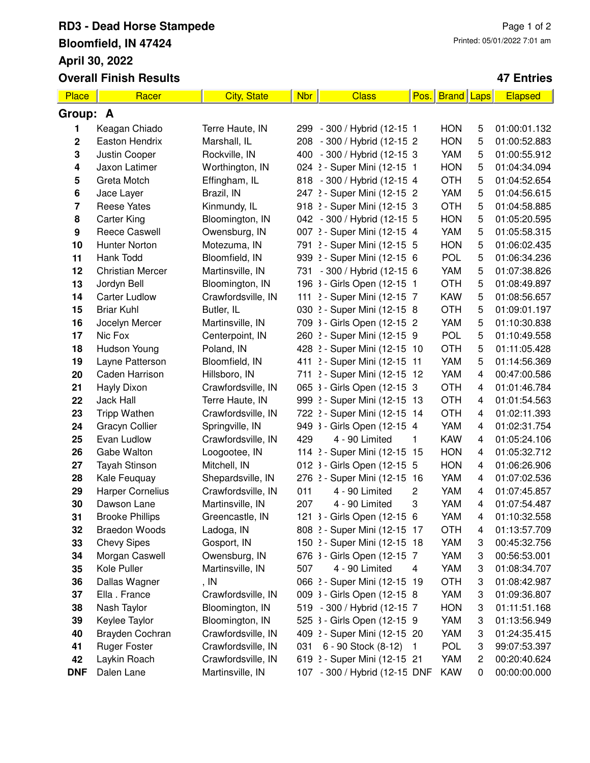## **RD3 - Dead Horse Stampede Bloomfield, IN 47424 April 30, 2022 Overall Finish Results**

## **47 Entries**

| Place                   | Racer                   | <b>City, State</b> | <b>Nbr</b> | <b>Class</b>                  | Pos.           | <b>Brand</b> | Laps | Elapsed      |  |
|-------------------------|-------------------------|--------------------|------------|-------------------------------|----------------|--------------|------|--------------|--|
| Group: A                |                         |                    |            |                               |                |              |      |              |  |
| 1                       | Keagan Chiado           | Terre Haute, IN    |            | 299 - 300 / Hybrid (12-15 1   |                | <b>HON</b>   | 5    | 01:00:01.132 |  |
| $\mathbf 2$             | Easton Hendrix          | Marshall, IL       |            | 208 - 300 / Hybrid (12-15 2   |                | <b>HON</b>   | 5    | 01:00:52.883 |  |
| 3                       | Justin Cooper           | Rockville, IN      |            | 400 - 300 / Hybrid (12-15 3   |                | YAM          | 5    | 01:00:55.912 |  |
| 4                       | Jaxon Latimer           | Worthington, IN    |            | 024 2 - Super Mini (12-15 1   |                | <b>HON</b>   | 5    | 01:04:34.094 |  |
| 5                       | Greta Motch             | Effingham, IL      |            | 818 - 300 / Hybrid (12-15 4   |                | <b>OTH</b>   | 5    | 01:04:52.654 |  |
| 6                       | Jace Layer              | Brazil, IN         |            | 247 2 - Super Mini (12-15 2   |                | YAM          | 5    | 01:04:56.615 |  |
| $\overline{\mathbf{7}}$ | <b>Reese Yates</b>      | Kinmundy, IL       |            | 918 2 - Super Mini (12-15 3   |                | <b>OTH</b>   | 5    | 01:04:58.885 |  |
| 8                       | <b>Carter King</b>      | Bloomington, IN    |            | 042 - 300 / Hybrid (12-15 5   |                | <b>HON</b>   | 5    | 01:05:20.595 |  |
| 9                       | <b>Reece Caswell</b>    | Owensburg, IN      |            | 007 2 - Super Mini (12-15 4   |                | YAM          | 5    | 01:05:58.315 |  |
| 10                      | Hunter Norton           | Motezuma, IN       |            | 791 2 - Super Mini (12-15 5   |                | <b>HON</b>   | 5    | 01:06:02.435 |  |
| 11                      | Hank Todd               | Bloomfield, IN     |            | 939 2 - Super Mini (12-15 6   |                | <b>POL</b>   | 5    | 01:06:34.236 |  |
| 12                      | <b>Christian Mercer</b> | Martinsville, IN   |            | 731 - 300 / Hybrid (12-15 6   |                | YAM          | 5    | 01:07:38.826 |  |
| 13                      | Jordyn Bell             | Bloomington, IN    |            | 196 3 - Girls Open (12-15 1   |                | <b>OTH</b>   | 5    | 01:08:49.897 |  |
| 14                      | <b>Carter Ludlow</b>    | Crawfordsville, IN |            | 111 2 - Super Mini (12-15 7   |                | <b>KAW</b>   | 5    | 01:08:56.657 |  |
| 15                      | <b>Briar Kuhl</b>       | Butler, IL         |            | 030 2 - Super Mini (12-15 8   |                | <b>OTH</b>   | 5    | 01:09:01.197 |  |
| 16                      | Jocelyn Mercer          | Martinsville, IN   |            | 709 3 - Girls Open (12-15 2   |                | YAM          | 5    | 01:10:30.838 |  |
| 17                      | Nic Fox                 | Centerpoint, IN    |            | 260 2 - Super Mini (12-15 9   |                | <b>POL</b>   | 5    | 01:10:49.558 |  |
| 18                      | Hudson Young            | Poland, IN         |            | 428 2 - Super Mini (12-15 10  |                | <b>OTH</b>   | 5    | 01:11:05.428 |  |
| 19                      | Layne Patterson         | Bloomfield, IN     |            | 411 2 - Super Mini (12-15 11  |                | YAM          | 5    | 01:14:56.369 |  |
| 20                      | Caden Harrison          | Hillsboro, IN      |            | 711 2 - Super Mini (12-15 12  |                | YAM          | 4    | 00:47:00.586 |  |
| 21                      | <b>Hayly Dixon</b>      | Crawfordsville, IN |            | 065 3 - Girls Open (12-15 3   |                | <b>OTH</b>   | 4    | 01:01:46.784 |  |
| 22                      | Jack Hall               | Terre Haute, IN    |            | 999 2 - Super Mini (12-15 13  |                | <b>OTH</b>   | 4    | 01:01:54.563 |  |
| 23                      | <b>Tripp Wathen</b>     | Crawfordsville, IN |            | 722 2 - Super Mini (12-15 14  |                | <b>OTH</b>   | 4    | 01:02:11.393 |  |
| 24                      | Gracyn Collier          | Springville, IN    |            | 949 3 - Girls Open (12-15 4   |                | YAM          | 4    | 01:02:31.754 |  |
| 25                      | Evan Ludlow             | Crawfordsville, IN | 429        | 4 - 90 Limited                | 1              | <b>KAW</b>   | 4    | 01:05:24.106 |  |
| 26                      | Gabe Walton             | Loogootee, IN      |            | 114 2 - Super Mini (12-15 15  |                | <b>HON</b>   | 4    | 01:05:32.712 |  |
| 27                      | Tayah Stinson           | Mitchell, IN       |            | 012 3 - Girls Open (12-15 5   |                | <b>HON</b>   | 4    | 01:06:26.906 |  |
| 28                      | Kale Feuquay            | Shepardsville, IN  |            | 276 2 - Super Mini (12-15 16  |                | YAM          | 4    | 01:07:02.536 |  |
| 29                      | <b>Harper Cornelius</b> | Crawfordsville, IN | 011        | 4 - 90 Limited                | 2              | YAM          | 4    | 01:07:45.857 |  |
| 30                      | Dawson Lane             | Martinsville, IN   | 207        | 4 - 90 Limited                | 3              | YAM          | 4    | 01:07:54.487 |  |
| 31                      | <b>Brooke Phillips</b>  | Greencastle, IN    |            | 121 3 - Girls Open (12-15 6   |                | YAM          | 4    | 01:10:32.558 |  |
| 32                      | <b>Braedon Woods</b>    | Ladoga, IN         |            | 808 2 - Super Mini (12-15 17  |                | OTH          | 4    | 01:13:57.709 |  |
| 33                      | <b>Chevy Sipes</b>      | Gosport, IN        |            | 150 2 - Super Mini (12-15 18  |                | YAM          | 3    | 00:45:32.756 |  |
| 34                      | Morgan Caswell          | Owensburg, IN      |            | 676 3 - Girls Open (12-15 7   |                | YAM          | 3    | 00:56:53.001 |  |
| 35                      | Kole Puller             | Martinsville, IN   | 507        | 4 - 90 Limited                | 4              | YAM          | 3    | 01:08:34.707 |  |
| 36                      | Dallas Wagner           | , IN               |            | 066 2 - Super Mini (12-15 19  |                | <b>OTH</b>   | 3    | 01:08:42.987 |  |
| 37                      | Ella . France           | Crawfordsville, IN |            | 009 3 - Girls Open (12-15 8   |                | YAM          | 3    | 01:09:36.807 |  |
| 38                      | Nash Taylor             | Bloomington, IN    |            | 519 - 300 / Hybrid (12-15 7   |                | <b>HON</b>   | 3    | 01:11:51.168 |  |
| 39                      | Keylee Taylor           | Bloomington, IN    |            | 525 3 - Girls Open (12-15 9   |                | YAM          | 3    | 01:13:56.949 |  |
| 40                      | Brayden Cochran         | Crawfordsville, IN |            | 409 2 - Super Mini (12-15 20  |                | YAM          | 3    | 01:24:35.415 |  |
| 41                      | <b>Ruger Foster</b>     | Crawfordsville, IN | 031        | 6 - 90 Stock (8-12)           | $\overline{1}$ | <b>POL</b>   | 3    | 99:07:53.397 |  |
| 42                      | Laykin Roach            | Crawfordsville, IN |            | 619 2 - Super Mini (12-15 21  |                | <b>YAM</b>   | 2    | 00:20:40.624 |  |
| <b>DNF</b>              | Dalen Lane              | Martinsville, IN   |            | 107 - 300 / Hybrid (12-15 DNF |                | <b>KAW</b>   | 0    | 00:00:00.000 |  |